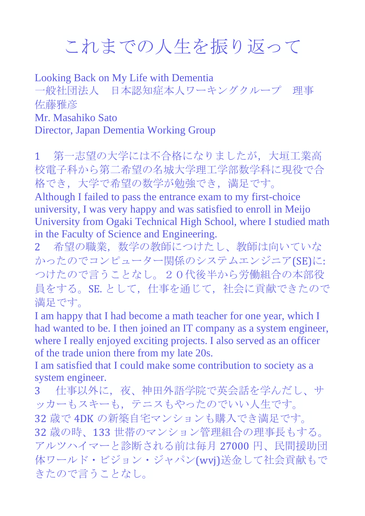## これまでの人生を振り返って

Looking Back on My Life with Dementia 一般社団法人 日本認知症本人ワーキングクループ 理事 佐藤雅彦 Mr. Masahiko Sato Director, Japan Dementia Working Group

1 第一志望の大学には不合格になりましたが,大垣工業高 校電子科から第二希望の名城大学理工学部数学科に現役で合 格でき,大学で希望の数学が勉強でき,満足です。

Although I failed to pass the entrance exam to my first-choice university, I was very happy and was satisfied to enroll in Meijo University from Ogaki Technical High School, where I studied math in the Faculty of Science and Engineering.

2 希望の職業,数学の教師につけたし、教師は向いていな かったのでコンピューター関係のシステムエンジニア(SE)に: つけたので言うことなし。20代後半から労働組合の本部役 員をする。SE. として、仕事を通じて、社会に貢献できたので 満足です。

I am happy that I had become a math teacher for one year, which I had wanted to be. I then joined an IT company as a system engineer, where I really enjoyed exciting projects. I also served as an officer of the trade union there from my late 20s.

I am satisfied that I could make some contribution to society as a system engineer.

3 仕事以外に,夜、神田外語学院で英会話を学んだし、サ ッカーもスキーも,テニスもやったのでいい人生です。 32 歳で 4DK の新築自宅マンションも購入でき満足です。 32 歳の時、133 世帯のマンション管理組合の理事長もする。 アルツハイマーと診断される前は毎月 27000 円、民間援助団 体ワールド・ビジョン・ジャパン(wvj)送金して社会貢献もで きたので言うことなし。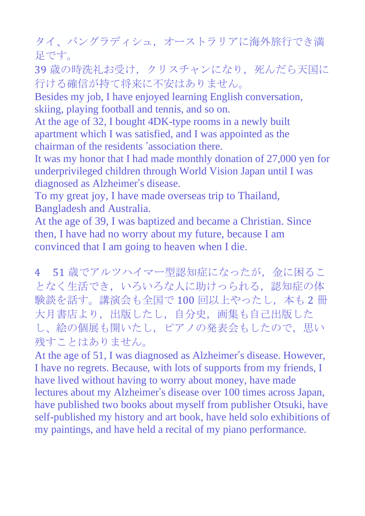タイ、バングラディシュ,オーストラリアに海外旅行でき満 足です。

39 歳の時洗礼お受け、クリスチャンになり、死んだら天国に 行ける確信が持て将来に不安はありません。

Besides my job, I have enjoyed learning English conversation, skiing, playing football and tennis, and so on.

At the age of 32, I bought 4DK-type rooms in a newly built apartment which I was satisfied, and I was appointed as the chairman of the residents 'association there.

It was my honor that I had made monthly donation of 27,000 yen for underprivileged children through World Vision Japan until I was diagnosed as Alzheimer's disease.

To my great joy, I have made overseas trip to Thailand, Bangladesh and Australia.

At the age of 39, I was baptized and became a Christian. Since then, I have had no worry about my future, because I am convinced that I am going to heaven when I die.

4 51 歳でアルツハイマー型認知症になったが、金に困るこ となく生活でき、いろいろな人に助けっられる,認知症の体 験談を話す。講演会も全国で100回以上やったし、本も2冊 大月書店より,出版したし,自分史,画集も自己出版した し、絵の個展も開いたし,ピアノの発表会もしたので,思い 残すことはありません。

At the age of 51, I was diagnosed as Alzheimer's disease. However, I have no regrets. Because, with lots of supports from my friends, I have lived without having to worry about money, have made lectures about my Alzheimer's disease over 100 times across Japan, have published two books about myself from publisher Otsuki, have self-published my history and art book, have held solo exhibitions of my paintings, and have held a recital of my piano performance.